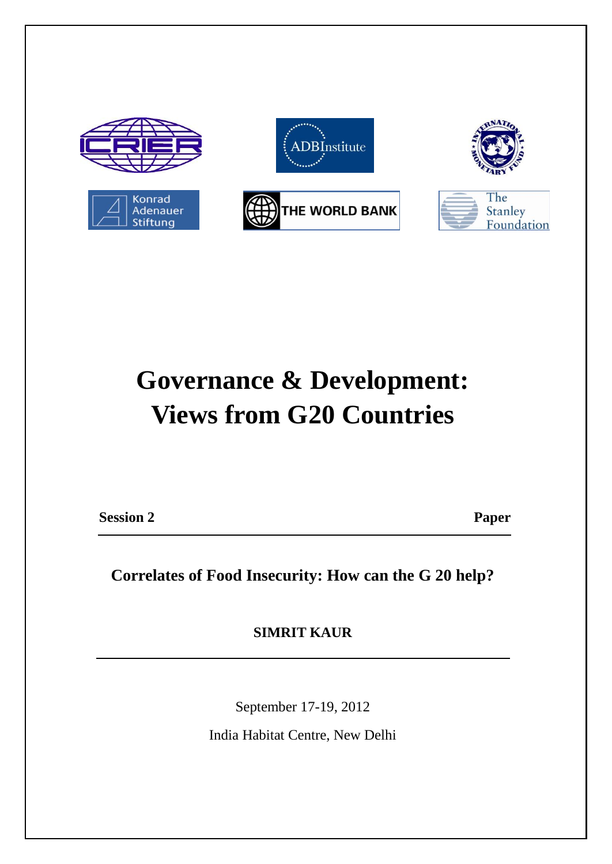

# **Governance & Development: Views from G20 Countries**

**Session 2 Paper** 

**Correlates of Food Insecurity: How can the G 20 help?**

**SIMRIT KAUR**

September 17-19, 2012

India Habitat Centre, New Delhi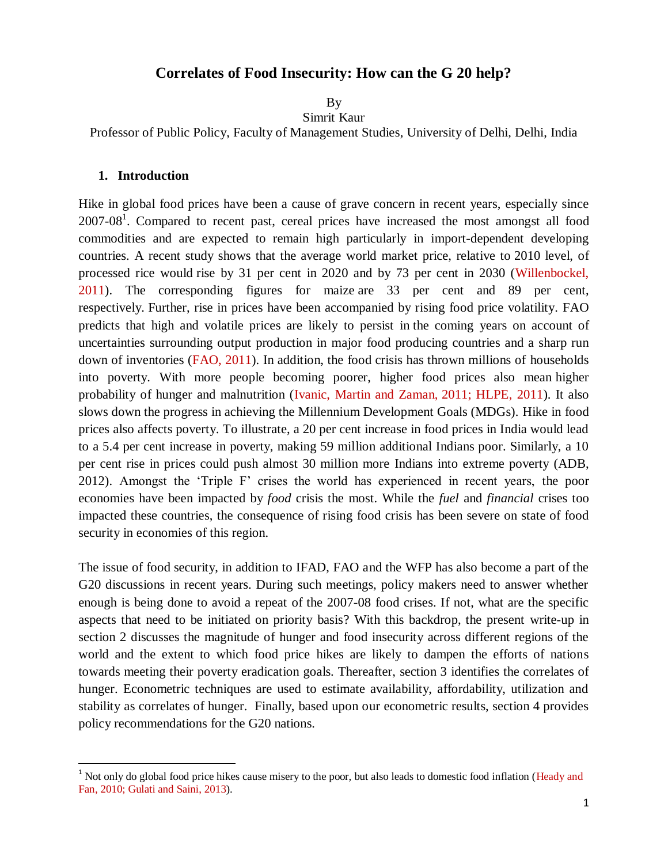## **Correlates of Food Insecurity: How can the G 20 help?**

By

Simrit Kaur

Professor of Public Policy, Faculty of Management Studies, University of Delhi, Delhi, India

#### **1. Introduction**

 $\overline{a}$ 

Hike in global food prices have been a cause of grave concern in recent years, especially since  $2007-08<sup>1</sup>$ . Compared to recent past, cereal prices have increased the most amongst all food commodities and are expected to remain high particularly in import-dependent developing countries. A recent study shows that the average world market price, relative to 2010 level, of processed rice would rise by 31 per cent in 2020 and by 73 per cent in 2030 (Willenbockel, 2011). The corresponding figures for maize are 33 per cent and 89 per cent, respectively. Further, rise in prices have been accompanied by rising food price volatility. FAO predicts that high and volatile prices are likely to persist in the coming years on account of uncertainties surrounding output production in major food producing countries and a sharp run down of inventories (FAO, 2011). In addition, the food crisis has thrown millions of households into poverty. With more people becoming poorer, higher food prices also mean higher probability of hunger and malnutrition (Ivanic, Martin and Zaman, 2011; HLPE, 2011). It also slows down the progress in achieving the Millennium Development Goals (MDGs). Hike in food prices also affects poverty. To illustrate, a 20 per cent increase in food prices in India would lead to a 5.4 per cent increase in poverty, making 59 million additional Indians poor. Similarly, a 10 per cent rise in prices could push almost 30 million more Indians into extreme poverty (ADB, 2012). Amongst the 'Triple F' crises the world has experienced in recent years, the poor economies have been impacted by *food* crisis the most. While the *fuel* and *financial* crises too impacted these countries, the consequence of rising food crisis has been severe on state of food security in economies of this region.

The issue of food security, in addition to IFAD, FAO and the WFP has also become a part of the G20 discussions in recent years. During such meetings, policy makers need to answer whether enough is being done to avoid a repeat of the 2007-08 food crises. If not, what are the specific aspects that need to be initiated on priority basis? With this backdrop, the present write-up in section 2 discusses the magnitude of hunger and food insecurity across different regions of the world and the extent to which food price hikes are likely to dampen the efforts of nations towards meeting their poverty eradication goals. Thereafter, section 3 identifies the correlates of hunger. Econometric techniques are used to estimate availability, affordability, utilization and stability as correlates of hunger. Finally, based upon our econometric results, section 4 provides policy recommendations for the G20 nations.

<sup>&</sup>lt;sup>1</sup> Not only do global food price hikes cause misery to the poor, but also leads to domestic food inflation (Heady and Fan, 2010; Gulati and Saini, 2013).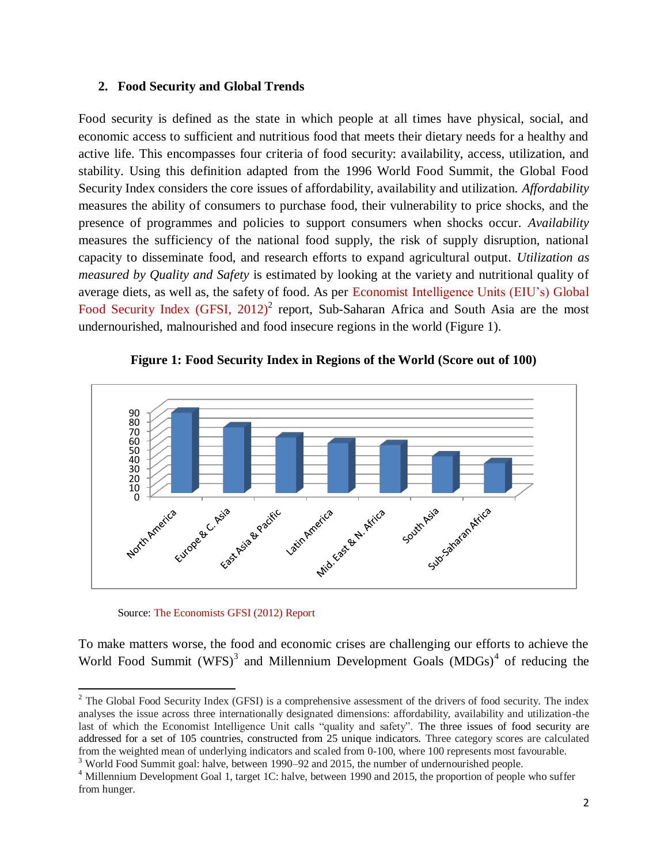#### **2. Food Security and Global Trends**

Food security is defined as the state in which people at all times have physical, social, and economic access to sufficient and nutritious food that meets their dietary needs for a healthy and active life. This encompasses four criteria of food security: availability, access, utilization, and stability. Using this definition adapted from the 1996 World Food Summit, the Global Food Security Index considers the core issues of affordability, availability and utilization. *Affordability* measures the ability of consumers to purchase food, their vulnerability to price shocks, and the presence of programmes and policies to support consumers when shocks occur. *Availability* measures the sufficiency of the national food supply, the risk of supply disruption, national capacity to disseminate food, and research efforts to expand agricultural output. *Utilization as measured by Quality and Safety* is estimated by looking at the variety and nutritional quality of average diets, as well as, the safety of food. As per Economist Intelligence Units (EIU's) Global Food Security Index  $(GFSI, 2012)^2$  report, Sub-Saharan Africa and South Asia are the most undernourished, malnourished and food insecure regions in the world (Figure 1).



#### **Figure 1: Food Security Index in Regions of the World (Score out of 100)**

Source: The Economists GFSI (2012) Report

 $\overline{a}$ 

To make matters worse, the food and economic crises are challenging our efforts to achieve the World Food Summit  $(WFS)^3$  and Millennium Development Goals  $(MDGs)^4$  of reducing the

<sup>3</sup> World Food Summit goal: halve, between 1990–92 and 2015, the number of undernourished people.

 $2^2$  The Global Food Security Index (GFSI) is a comprehensive assessment of the drivers of food security. The index analyses the issue across three internationally designated dimensions: affordability, availability and utilization-the last of which the Economist Intelligence Unit calls "quality and safety". The three issues of food security are addressed for a set of 105 countries, constructed from 25 unique indicators. Three category scores are calculated from the weighted mean of underlying indicators and scaled from 0-100, where 100 represents most favourable.

<sup>&</sup>lt;sup>4</sup> Millennium Development Goal 1, target 1C: halve, between 1990 and 2015, the proportion of people who suffer from hunger.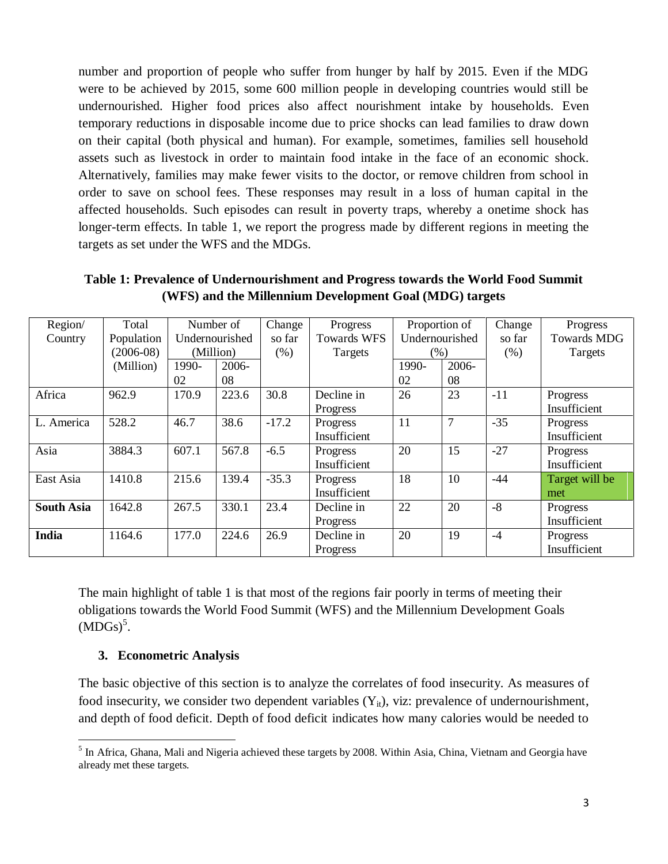number and proportion of people who suffer from hunger by half by 2015. Even if the MDG were to be achieved by 2015, some 600 million people in developing countries would still be undernourished. Higher food prices also affect nourishment intake by households. Even temporary reductions in disposable income due to price shocks can lead families to draw down on their capital (both physical and human). For example, sometimes, families sell household assets such as livestock in order to maintain food intake in the face of an economic shock. Alternatively, families may make fewer visits to the doctor, or remove children from school in order to save on school fees. These responses may result in a loss of human capital in the affected households. Such episodes can result in poverty traps, whereby a onetime shock has longer-term effects. In table 1, we report the progress made by different regions in meeting the targets as set under the WFS and the MDGs.

| Region/           | Total       |                | Number of | Change  | Progress           | Proportion of  |                | Change | Progress           |
|-------------------|-------------|----------------|-----------|---------|--------------------|----------------|----------------|--------|--------------------|
| Country           | Population  | Undernourished |           | so far  | <b>Towards WFS</b> | Undernourished |                | so far | <b>Towards MDG</b> |
|                   | $(2006-08)$ | (Million)      |           | (% )    | Targets            | $(\%)$         |                | (% )   | Targets            |
|                   | (Million)   | 1990-          | 2006-     |         |                    | 1990-          | 2006-          |        |                    |
|                   |             | 02             | 08        |         |                    | 02             | 08             |        |                    |
| Africa            | 962.9       | 170.9          | 223.6     | 30.8    | Decline in         | 26             | 23             | $-11$  | Progress           |
|                   |             |                |           |         | Progress           |                |                |        | Insufficient       |
| L. America        | 528.2       | 46.7           | 38.6      | $-17.2$ | Progress           | 11             | $\overline{7}$ | $-35$  | Progress           |
|                   |             |                |           |         | Insufficient       |                |                |        | Insufficient       |
| Asia              | 3884.3      | 607.1          | 567.8     | $-6.5$  | Progress           | 20             | 15             | $-27$  | Progress           |
|                   |             |                |           |         | Insufficient       |                |                |        | Insufficient       |
| East Asia         | 1410.8      | 215.6          | 139.4     | $-35.3$ | Progress           | 18             | 10             | $-44$  | Target will be     |
|                   |             |                |           |         | Insufficient       |                |                |        | met                |
| <b>South Asia</b> | 1642.8      | 267.5          | 330.1     | 23.4    | Decline in         | 22             | 20             | $-8$   | Progress           |
|                   |             |                |           |         | Progress           |                |                |        | Insufficient       |
| India             | 1164.6      | 177.0          | 224.6     | 26.9    | Decline in         | 20             | 19             | $-4$   | Progress           |
|                   |             |                |           |         | Progress           |                |                |        | Insufficient       |

**Table 1: Prevalence of Undernourishment and Progress towards the World Food Summit (WFS) and the Millennium Development Goal (MDG) targets** 

The main highlight of table 1 is that most of the regions fair poorly in terms of meeting their obligations towards the World Food Summit (WFS) and the Millennium Development Goals  $(MDGs)^5$ .

### **3. Econometric Analysis**

The basic objective of this section is to analyze the correlates of food insecurity. As measures of food insecurity, we consider two dependent variables  $(Y_{it})$ , viz: prevalence of undernourishment, and depth of food deficit. Depth of food deficit indicates how many calories would be needed to

 $\overline{\phantom{a}}$ <sup>5</sup> In Africa, Ghana, Mali and Nigeria achieved these targets by 2008. Within Asia, China, Vietnam and Georgia have already met these targets.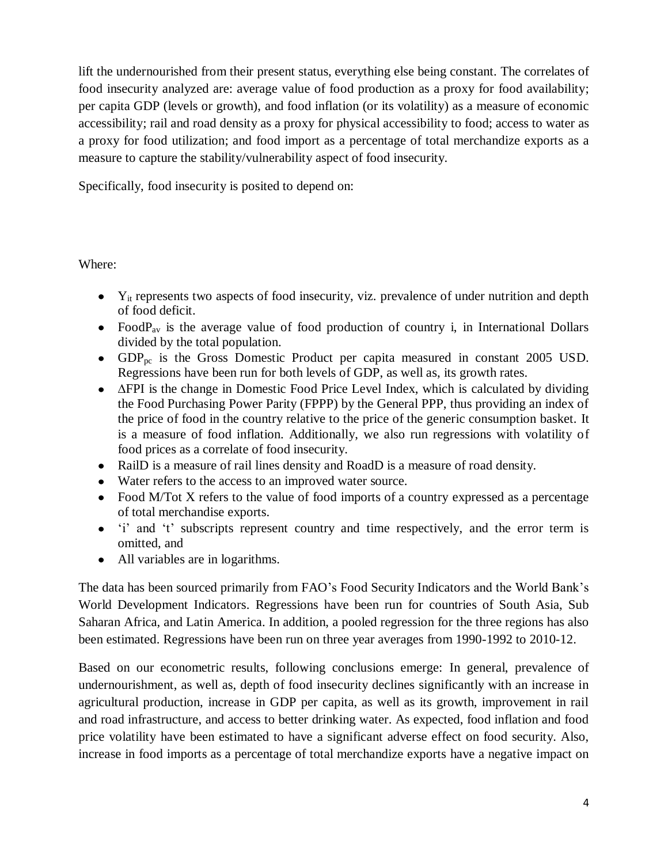lift the undernourished from their present status, everything else being constant. The correlates of food insecurity analyzed are: average value of food production as a proxy for food availability; per capita GDP (levels or growth), and food inflation (or its volatility) as a measure of economic accessibility; rail and road density as a proxy for physical accessibility to food; access to water as a proxy for food utilization; and food import as a percentage of total merchandize exports as a measure to capture the stability/vulnerability aspect of food insecurity.

Specifically, food insecurity is posited to depend on:

Where:

- $\bullet$  Y<sub>it</sub> represents two aspects of food insecurity, viz. prevalence of under nutrition and depth of food deficit.
- Food  $P_{av}$  is the average value of food production of country i, in International Dollars divided by the total population.
- GDP<sub>pc</sub> is the Gross Domestic Product per capita measured in constant 2005 USD. Regressions have been run for both levels of GDP, as well as, its growth rates.
- ∆FPI is the change in Domestic Food Price Level Index, which is calculated by dividing the Food Purchasing Power Parity (FPPP) by the General PPP, thus providing an index of the price of food in the country relative to the price of the generic consumption basket. It is a measure of food inflation. Additionally, we also run regressions with volatility of food prices as a correlate of food insecurity.
- RailD is a measure of rail lines density and RoadD is a measure of road density.
- Water refers to the access to an improved water source.
- Food M/Tot X refers to the value of food imports of a country expressed as a percentage of total merchandise exports.
- 'i' and 't' subscripts represent country and time respectively, and the error term is omitted, and
- All variables are in logarithms.

The data has been sourced primarily from FAO's Food Security Indicators and the World Bank's World Development Indicators. Regressions have been run for countries of South Asia, Sub Saharan Africa, and Latin America. In addition, a pooled regression for the three regions has also been estimated. Regressions have been run on three year averages from 1990-1992 to 2010-12.

Based on our econometric results, following conclusions emerge: In general, prevalence of undernourishment, as well as, depth of food insecurity declines significantly with an increase in agricultural production, increase in GDP per capita, as well as its growth, improvement in rail and road infrastructure, and access to better drinking water. As expected, food inflation and food price volatility have been estimated to have a significant adverse effect on food security. Also, increase in food imports as a percentage of total merchandize exports have a negative impact on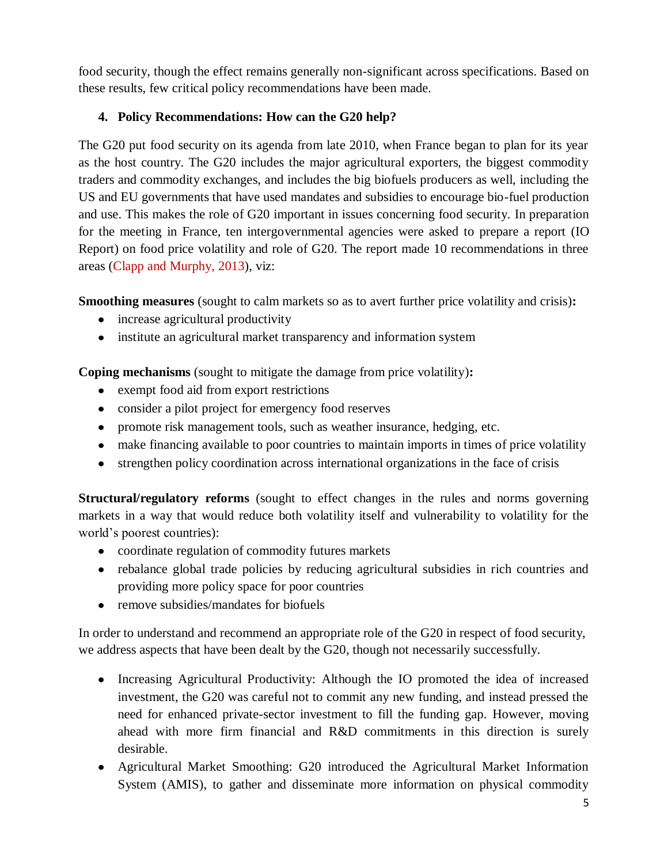food security, though the effect remains generally non-significant across specifications. Based on these results, few critical policy recommendations have been made.

# **4. Policy Recommendations: How can the G20 help?**

The G20 put food security on its agenda from late 2010, when France began to plan for its year as the host country. The G20 includes the major agricultural exporters, the biggest commodity traders and commodity exchanges, and includes the big biofuels producers as well, including the US and EU governments that have used mandates and subsidies to encourage bio-fuel production and use. This makes the role of G20 important in issues concerning food security. In preparation for the meeting in France, ten intergovernmental agencies were asked to prepare a report (IO Report) on food price volatility and role of G20. The report made 10 recommendations in three areas (Clapp and Murphy, 2013), viz:

**Smoothing measures** (sought to calm markets so as to avert further price volatility and crisis)**:**

- increase agricultural productivity
- institute an agricultural market transparency and information system

**Coping mechanisms** (sought to mitigate the damage from price volatility)**:**

- exempt food aid from export restrictions
- consider a pilot project for emergency food reserves
- promote risk management tools, such as weather insurance, hedging, etc.
- make financing available to poor countries to maintain imports in times of price volatility
- strengthen policy coordination across international organizations in the face of crisis

**Structural/regulatory reforms** (sought to effect changes in the rules and norms governing markets in a way that would reduce both volatility itself and vulnerability to volatility for the world's poorest countries):

- coordinate regulation of commodity futures markets
- rebalance global trade policies by reducing agricultural subsidies in rich countries and providing more policy space for poor countries
- remove subsidies/mandates for biofuels

In order to understand and recommend an appropriate role of the G20 in respect of food security, we address aspects that have been dealt by the G20, though not necessarily successfully.

- Increasing Agricultural Productivity: Although the IO promoted the idea of increased investment, the G20 was careful not to commit any new funding, and instead pressed the need for enhanced private-sector investment to fill the funding gap. However, moving ahead with more firm financial and R&D commitments in this direction is surely desirable.
- Agricultural Market Smoothing: G20 introduced the Agricultural Market Information System (AMIS), to gather and disseminate more information on physical commodity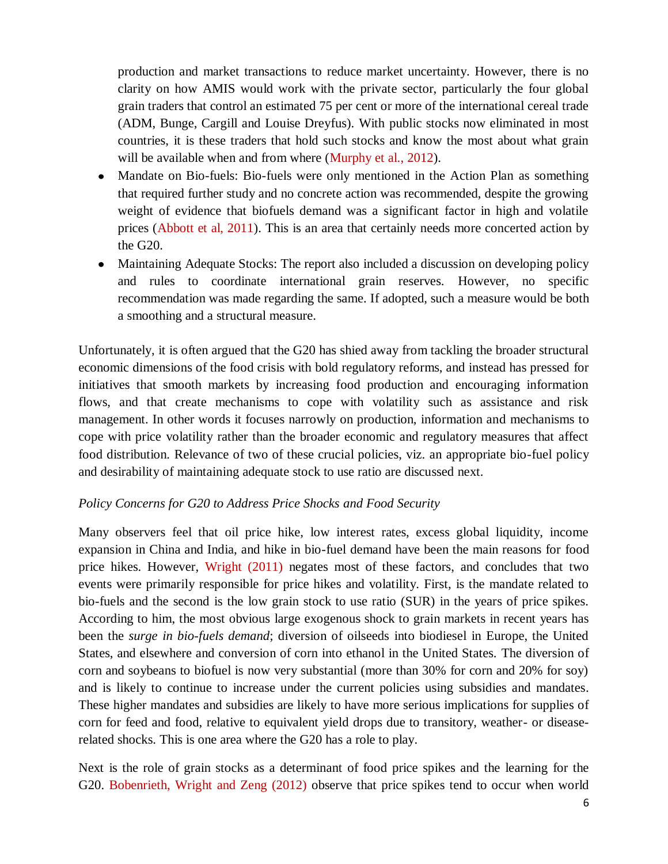production and market transactions to reduce market uncertainty. However, there is no clarity on how AMIS would work with the private sector, particularly the four global grain traders that control an estimated 75 per cent or more of the international cereal trade (ADM, Bunge, Cargill and Louise Dreyfus). With public stocks now eliminated in most countries, it is these traders that hold such stocks and know the most about what grain will be available when and from where (Murphy et al., 2012).

- Mandate on Bio-fuels: Bio-fuels were only mentioned in the Action Plan as something that required further study and no concrete action was recommended, despite the growing weight of evidence that biofuels demand was a significant factor in high and volatile prices (Abbott et al, 2011). This is an area that certainly needs more concerted action by the G20.
- Maintaining Adequate Stocks: The report also included a discussion on developing policy and rules to coordinate international grain reserves. However, no specific recommendation was made regarding the same. If adopted, such a measure would be both a smoothing and a structural measure.

Unfortunately, it is often argued that the G20 has shied away from tackling the broader structural economic dimensions of the food crisis with bold regulatory reforms, and instead has pressed for initiatives that smooth markets by increasing food production and encouraging information flows, and that create mechanisms to cope with volatility such as assistance and risk management. In other words it focuses narrowly on production, information and mechanisms to cope with price volatility rather than the broader economic and regulatory measures that affect food distribution. Relevance of two of these crucial policies, viz. an appropriate bio-fuel policy and desirability of maintaining adequate stock to use ratio are discussed next.

#### *Policy Concerns for G20 to Address Price Shocks and Food Security*

Many observers feel that oil price hike, low interest rates, excess global liquidity, income expansion in China and India, and hike in bio-fuel demand have been the main reasons for food price hikes. However, Wright (2011) negates most of these factors, and concludes that two events were primarily responsible for price hikes and volatility. First, is the mandate related to bio-fuels and the second is the low grain stock to use ratio (SUR) in the years of price spikes. According to him, the most obvious large exogenous shock to grain markets in recent years has been the *surge in bio-fuels demand*; diversion of oilseeds into biodiesel in Europe, the United States, and elsewhere and conversion of corn into ethanol in the United States. The diversion of corn and soybeans to biofuel is now very substantial (more than 30% for corn and 20% for soy) and is likely to continue to increase under the current policies using subsidies and mandates. These higher mandates and subsidies are likely to have more serious implications for supplies of corn for feed and food, relative to equivalent yield drops due to transitory, weather- or diseaserelated shocks. This is one area where the G20 has a role to play.

Next is the role of grain stocks as a determinant of food price spikes and the learning for the G20. Bobenrieth, Wright and Zeng (2012) observe that price spikes tend to occur when world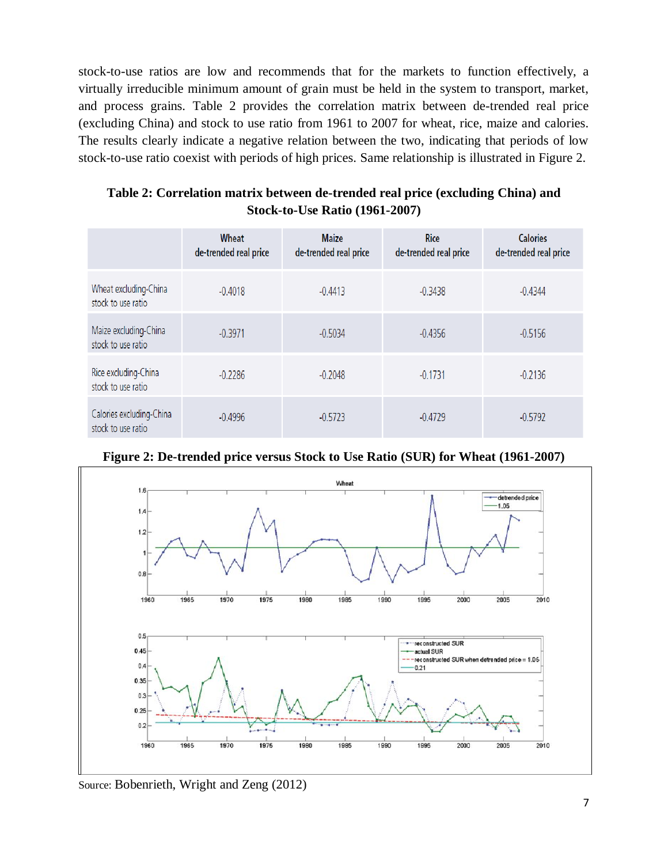stock-to-use ratios are low and recommends that for the markets to function effectively, a virtually irreducible minimum amount of grain must be held in the system to transport, market, and process grains. Table 2 provides the correlation matrix between de-trended real price (excluding China) and stock to use ratio from 1961 to 2007 for wheat, rice, maize and calories. The results clearly indicate a negative relation between the two, indicating that periods of low stock-to-use ratio coexist with periods of high prices. Same relationship is illustrated in Figure 2.

| Table 2: Correlation matrix between de-trended real price (excluding China) and |
|---------------------------------------------------------------------------------|
| <b>Stock-to-Use Ratio (1961-2007)</b>                                           |

|                                                | Wheat<br>de-trended real price | <b>Maize</b><br>de-trended real price | <b>Rice</b><br>de-trended real price | <b>Calories</b><br>de-trended real price |
|------------------------------------------------|--------------------------------|---------------------------------------|--------------------------------------|------------------------------------------|
| Wheat excluding-China<br>stock to use ratio    | $-0.4018$                      | $-0.4413$                             | $-0.3438$                            | $-0.4344$                                |
| Maize excluding-China<br>stock to use ratio    | $-0.3971$                      | $-0.5034$                             | $-0.4356$                            | $-0.5156$                                |
| Rice excluding-China<br>stock to use ratio     | $-0.2286$                      | $-0.2048$                             | $-0.1731$                            | $-0.2136$                                |
| Calories excluding-China<br>stock to use ratio | $-0.4996$                      | $-0.5723$                             | $-0.4729$                            | $-0.5792$                                |



**Figure 2: De-trended price versus Stock to Use Ratio (SUR) for Wheat (1961-2007)**

Source: Bobenrieth, Wright and Zeng (2012)